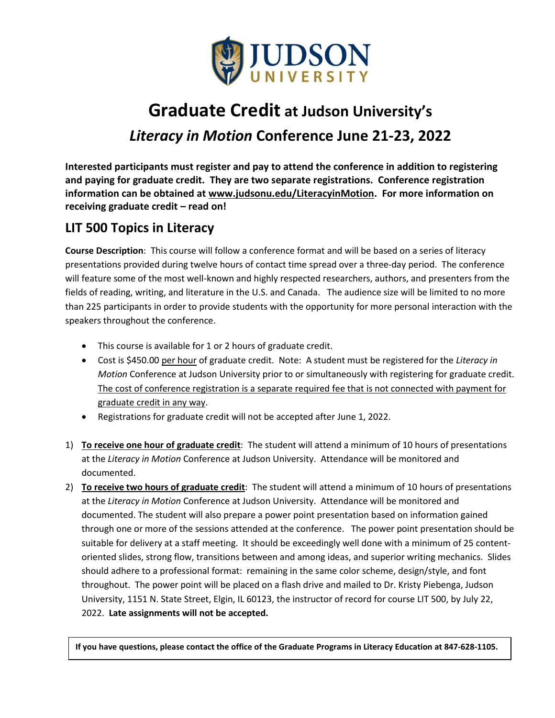

## **Graduate Credit at Judson University's**  *Literacy in Motion* **Conference June 21-23, 2022**

**Interested participants must register and pay to attend the conference in addition to registering and paying for graduate credit. They are two separate registrations. Conference registration information can be obtained at www.judsonu.edu/LiteracyinMotion. For more information on receiving graduate credit – read on!** 

## **LIT 500 Topics in Literacy**

**Course Description**: This course will follow a conference format and will be based on a series of literacy presentations provided during twelve hours of contact time spread over a three-day period. The conference will feature some of the most well-known and highly respected researchers, authors, and presenters from the fields of reading, writing, and literature in the U.S. and Canada. The audience size will be limited to no more than 225 participants in order to provide students with the opportunity for more personal interaction with the speakers throughout the conference.

- This course is available for 1 or 2 hours of graduate credit.
- Cost is \$450.00 per hour of graduate credit. Note: A student must be registered for the *Literacy in Motion* Conference at Judson University prior to or simultaneously with registering for graduate credit. The cost of conference registration is a separate required fee that is not connected with payment for graduate credit in any way.
- Registrations for graduate credit will not be accepted after June 1, 2022.
- 1) **To receive one hour of graduate credit**: The student will attend a minimum of 10 hours of presentations at the *Literacy in Motion* Conference at Judson University. Attendance will be monitored and documented.
- 2) **To receive two hours of graduate credit**: The student will attend a minimum of 10 hours of presentations at the *Literacy in Motion* Conference at Judson University. Attendance will be monitored and documented. The student will also prepare a power point presentation based on information gained through one or more of the sessions attended at the conference. The power point presentation should be suitable for delivery at a staff meeting. It should be exceedingly well done with a minimum of 25 contentoriented slides, strong flow, transitions between and among ideas, and superior writing mechanics. Slides should adhere to a professional format: remaining in the same color scheme, design/style, and font throughout. The power point will be placed on a flash drive and mailed to Dr. Kristy Piebenga, Judson University, 1151 N. State Street, Elgin, IL 60123, the instructor of record for course LIT 500, by July 22, 2022. **Late assignments will not be accepted.**

**If you have questions, please contact the office of the Graduate Programs in Literacy Education at 847-628-1105.**